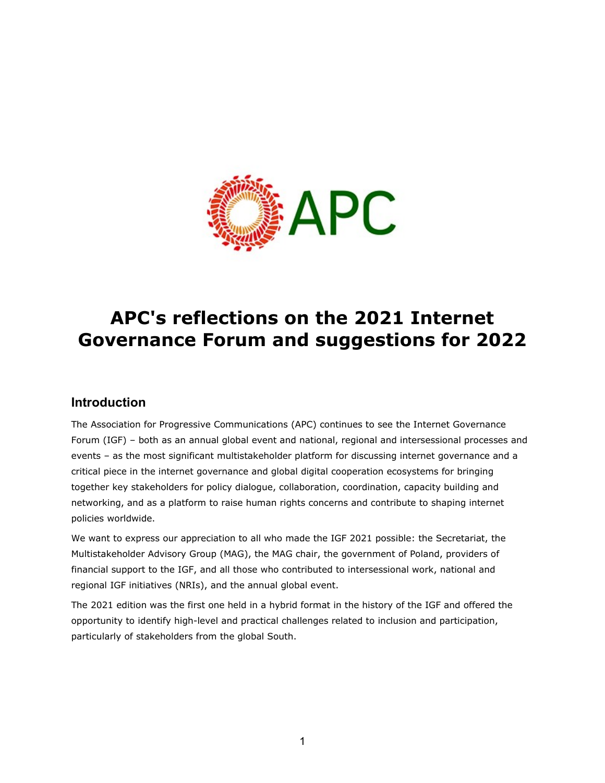

# **APC's reflections on the 2021 Internet Governance Forum and suggestions for 2022**

## **Introduction**

The Association for Progressive Communications (APC) continues to see the Internet Governance Forum (IGF) – both as an annual global event and national, regional and intersessional processes and events – as the most significant multistakeholder platform for discussing internet governance and a critical piece in the internet governance and global digital cooperation ecosystems for bringing together key stakeholders for policy dialogue, collaboration, coordination, capacity building and networking, and as a platform to raise human rights concerns and contribute to shaping internet policies worldwide.

We want to express our appreciation to all who made the IGF 2021 possible: the Secretariat, the Multistakeholder Advisory Group (MAG), the MAG chair, the government of Poland, providers of financial support to the IGF, and all those who contributed to intersessional work, national and regional IGF initiatives (NRIs), and the annual global event.

The 2021 edition was the first one held in a hybrid format in the history of the IGF and offered the opportunity to identify high-level and practical challenges related to inclusion and participation, particularly of stakeholders from the global South.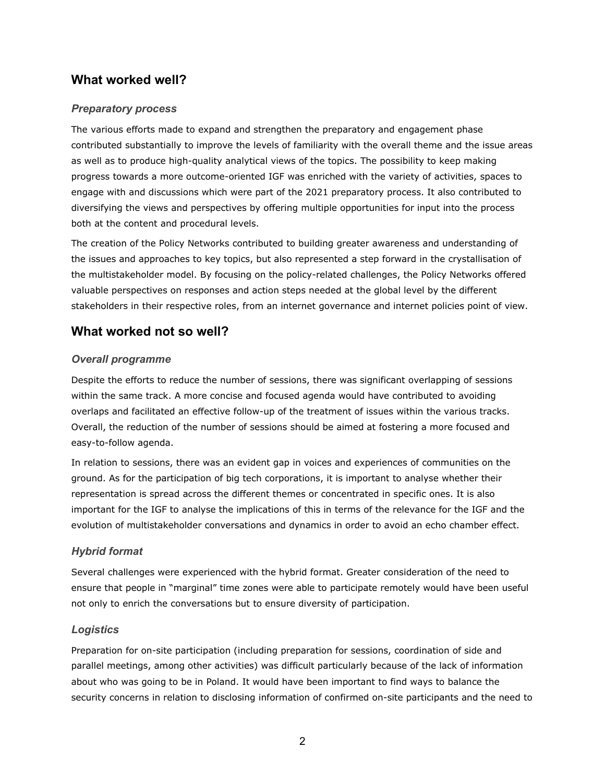## **What worked well?**

### *Preparatory process*

The various efforts made to expand and strengthen the preparatory and engagement phase contributed substantially to improve the levels of familiarity with the overall theme and the issue areas as well as to produce high-quality analytical views of the topics. The possibility to keep making progress towards a more outcome-oriented IGF was enriched with the variety of activities, spaces to engage with and discussions which were part of the 2021 preparatory process. It also contributed to diversifying the views and perspectives by offering multiple opportunities for input into the process both at the content and procedural levels.

The creation of the Policy Networks contributed to building greater awareness and understanding of the issues and approaches to key topics, but also represented a step forward in the crystallisation of the multistakeholder model. By focusing on the policy-related challenges, the Policy Networks offered valuable perspectives on responses and action steps needed at the global level by the different stakeholders in their respective roles, from an internet governance and internet policies point of view.

## **What worked not so well?**

#### *Overall programme*

Despite the efforts to reduce the number of sessions, there was significant overlapping of sessions within the same track. A more concise and focused agenda would have contributed to avoiding overlaps and facilitated an effective follow-up of the treatment of issues within the various tracks. Overall, the reduction of the number of sessions should be aimed at fostering a more focused and easy-to-follow agenda.

In relation to sessions, there was an evident gap in voices and experiences of communities on the ground. As for the participation of big tech corporations, it is important to analyse whether their representation is spread across the different themes or concentrated in specific ones. It is also important for the IGF to analyse the implications of this in terms of the relevance for the IGF and the evolution of multistakeholder conversations and dynamics in order to avoid an echo chamber effect.

#### *Hybrid format*

Several challenges were experienced with the hybrid format. Greater consideration of the need to ensure that people in "marginal" time zones were able to participate remotely would have been useful not only to enrich the conversations but to ensure diversity of participation.

#### *Logistics*

Preparation for on-site participation (including preparation for sessions, coordination of side and parallel meetings, among other activities) was difficult particularly because of the lack of information about who was going to be in Poland. It would have been important to find ways to balance the security concerns in relation to disclosing information of confirmed on-site participants and the need to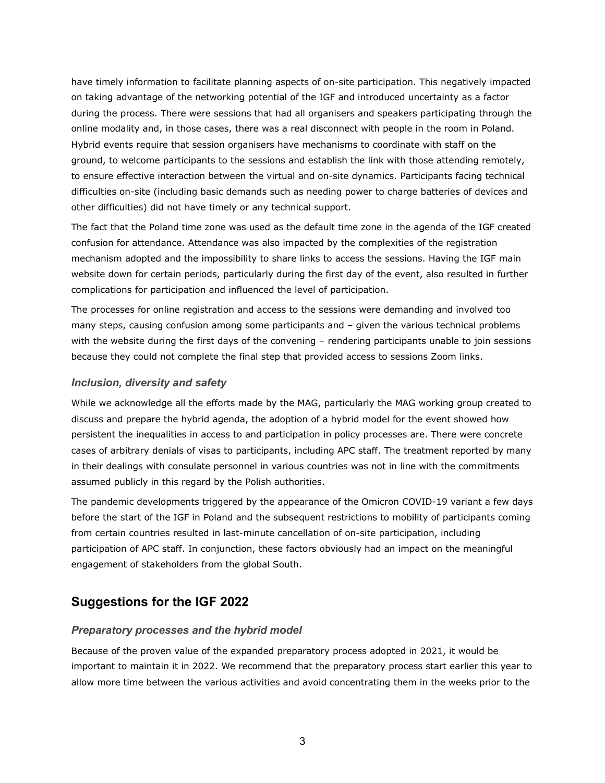have timely information to facilitate planning aspects of on-site participation. This negatively impacted on taking advantage of the networking potential of the IGF and introduced uncertainty as a factor during the process. There were sessions that had all organisers and speakers participating through the online modality and, in those cases, there was a real disconnect with people in the room in Poland. Hybrid events require that session organisers have mechanisms to coordinate with staff on the ground, to welcome participants to the sessions and establish the link with those attending remotely, to ensure effective interaction between the virtual and on-site dynamics. Participants facing technical difficulties on-site (including basic demands such as needing power to charge batteries of devices and other difficulties) did not have timely or any technical support.

The fact that the Poland time zone was used as the default time zone in the agenda of the IGF created confusion for attendance. Attendance was also impacted by the complexities of the registration mechanism adopted and the impossibility to share links to access the sessions. Having the IGF main website down for certain periods, particularly during the first day of the event, also resulted in further complications for participation and influenced the level of participation.

The processes for online registration and access to the sessions were demanding and involved too many steps, causing confusion among some participants and – given the various technical problems with the website during the first days of the convening – rendering participants unable to join sessions because they could not complete the final step that provided access to sessions Zoom links.

#### *Inclusion, diversity and safety*

While we acknowledge all the efforts made by the MAG, particularly the MAG working group created to discuss and prepare the hybrid agenda, the adoption of a hybrid model for the event showed how persistent the inequalities in access to and participation in policy processes are. There were concrete cases of arbitrary denials of visas to participants, including APC staff. The treatment reported by many in their dealings with consulate personnel in various countries was not in line with the commitments assumed publicly in this regard by the Polish authorities.

The pandemic developments triggered by the appearance of the Omicron COVID-19 variant a few days before the start of the IGF in Poland and the subsequent restrictions to mobility of participants coming from certain countries resulted in last-minute cancellation of on-site participation, including participation of APC staff. In conjunction, these factors obviously had an impact on the meaningful engagement of stakeholders from the global South.

# **Suggestions for the IGF 2022**

#### *Preparatory processes and the hybrid model*

Because of the proven value of the expanded preparatory process adopted in 2021, it would be important to maintain it in 2022. We recommend that the preparatory process start earlier this year to allow more time between the various activities and avoid concentrating them in the weeks prior to the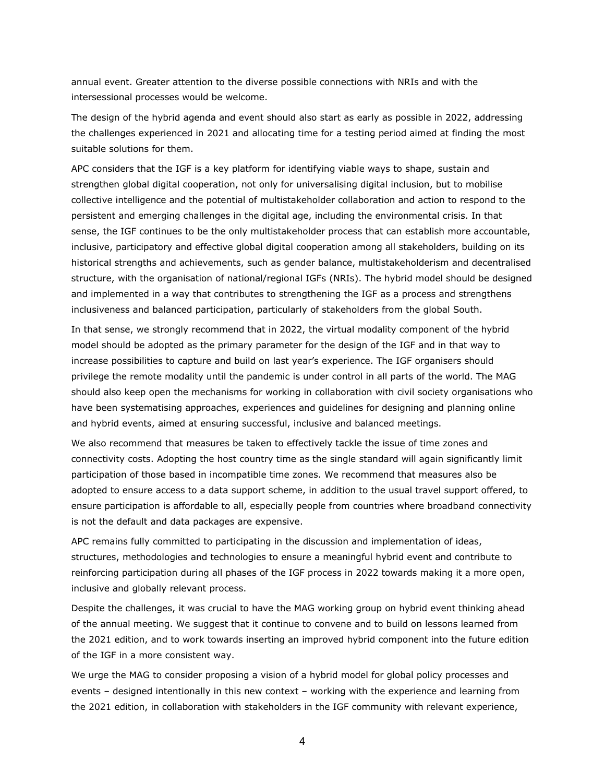annual event. Greater attention to the diverse possible connections with NRIs and with the intersessional processes would be welcome.

The design of the hybrid agenda and event should also start as early as possible in 2022, addressing the challenges experienced in 2021 and allocating time for a testing period aimed at finding the most suitable solutions for them.

APC considers that the IGF is a key platform for identifying viable ways to shape, sustain and strengthen global digital cooperation, not only for universalising digital inclusion, but to mobilise collective intelligence and the potential of multistakeholder collaboration and action to respond to the persistent and emerging challenges in the digital age, including the environmental crisis. In that sense, the IGF continues to be the only multistakeholder process that can establish more accountable, inclusive, participatory and effective global digital cooperation among all stakeholders, building on its historical strengths and achievements, such as gender balance, multistakeholderism and decentralised structure, with the organisation of national/regional IGFs (NRIs). The hybrid model should be designed and implemented in a way that contributes to strengthening the IGF as a process and strengthens inclusiveness and balanced participation, particularly of stakeholders from the global South.

In that sense, we strongly recommend that in 2022, the virtual modality component of the hybrid model should be adopted as the primary parameter for the design of the IGF and in that way to increase possibilities to capture and build on last year's experience. The IGF organisers should privilege the remote modality until the pandemic is under control in all parts of the world. The MAG should also keep open the mechanisms for working in collaboration with civil society organisations who have been systematising approaches, experiences and guidelines for designing and planning online and hybrid events, aimed at ensuring successful, inclusive and balanced meetings.

We also recommend that measures be taken to effectively tackle the issue of time zones and connectivity costs. Adopting the host country time as the single standard will again significantly limit participation of those based in incompatible time zones. We recommend that measures also be adopted to ensure access to a data support scheme, in addition to the usual travel support offered, to ensure participation is affordable to all, especially people from countries where broadband connectivity is not the default and data packages are expensive.

APC remains fully committed to participating in the discussion and implementation of ideas, structures, methodologies and technologies to ensure a meaningful hybrid event and contribute to reinforcing participation during all phases of the IGF process in 2022 towards making it a more open, inclusive and globally relevant process.

Despite the challenges, it was crucial to have the MAG working group on hybrid event thinking ahead of the annual meeting. We suggest that it continue to convene and to build on lessons learned from the 2021 edition, and to work towards inserting an improved hybrid component into the future edition of the IGF in a more consistent way.

We urge the MAG to consider proposing a vision of a hybrid model for global policy processes and events – designed intentionally in this new context – working with the experience and learning from the 2021 edition, in collaboration with stakeholders in the IGF community with relevant experience,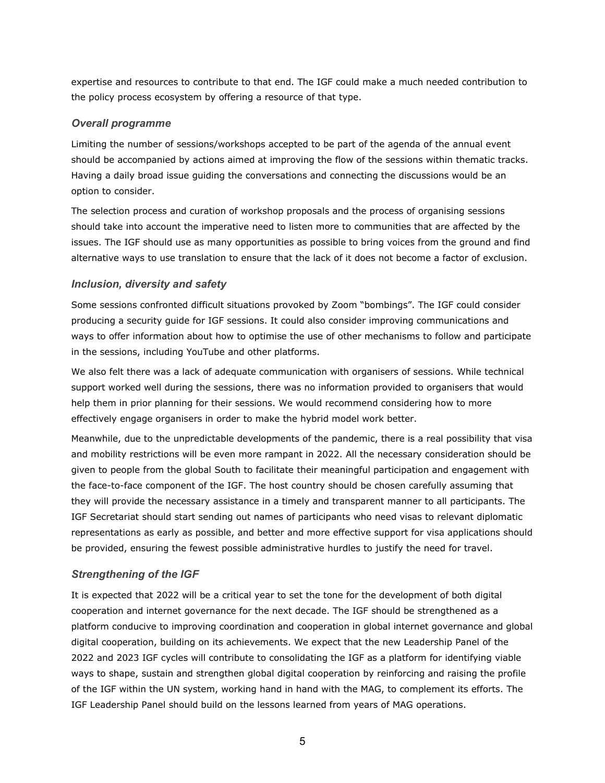expertise and resources to contribute to that end. The IGF could make a much needed contribution to the policy process ecosystem by offering a resource of that type.

#### *Overall programme*

Limiting the number of sessions/workshops accepted to be part of the agenda of the annual event should be accompanied by actions aimed at improving the flow of the sessions within thematic tracks. Having a daily broad issue guiding the conversations and connecting the discussions would be an option to consider.

The selection process and curation of workshop proposals and the process of organising sessions should take into account the imperative need to listen more to communities that are affected by the issues. The IGF should use as many opportunities as possible to bring voices from the ground and find alternative ways to use translation to ensure that the lack of it does not become a factor of exclusion.

#### *Inclusion, diversity and safety*

Some sessions confronted difficult situations provoked by Zoom "bombings". The IGF could consider producing a security guide for IGF sessions. It could also consider improving communications and ways to offer information about how to optimise the use of other mechanisms to follow and participate in the sessions, including YouTube and other platforms.

We also felt there was a lack of adequate communication with organisers of sessions. While technical support worked well during the sessions, there was no information provided to organisers that would help them in prior planning for their sessions. We would recommend considering how to more effectively engage organisers in order to make the hybrid model work better.

Meanwhile, due to the unpredictable developments of the pandemic, there is a real possibility that visa and mobility restrictions will be even more rampant in 2022. All the necessary consideration should be given to people from the global South to facilitate their meaningful participation and engagement with the face-to-face component of the IGF. The host country should be chosen carefully assuming that they will provide the necessary assistance in a timely and transparent manner to all participants. The IGF Secretariat should start sending out names of participants who need visas to relevant diplomatic representations as early as possible, and better and more effective support for visa applications should be provided, ensuring the fewest possible administrative hurdles to justify the need for travel.

#### *Strengthening of the IGF*

It is expected that 2022 will be a critical year to set the tone for the development of both digital cooperation and internet governance for the next decade. The IGF should be strengthened as a platform conducive to improving coordination and cooperation in global internet governance and global digital cooperation, building on its achievements. We expect that the new Leadership Panel of the 2022 and 2023 IGF cycles will contribute to consolidating the IGF as a platform for identifying viable ways to shape, sustain and strengthen global digital cooperation by reinforcing and raising the profile of the IGF within the UN system, working hand in hand with the MAG, to complement its efforts. The IGF Leadership Panel should build on the lessons learned from years of MAG operations.